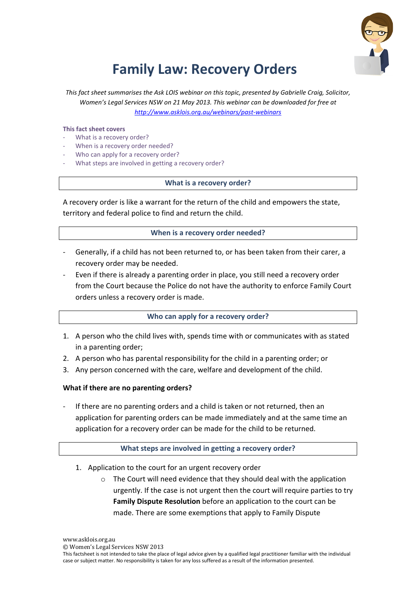

# **Family Law: Recovery Orders**

This fact sheet summarises the Ask LOIS webinar on this topic, presented by Gabrielle Craig, Solicitor, Women's Legal Services NSW on 21 May 2013. This webinar can be downloaded for free at *http://www.asklois.org.au/webinars/past-webinars*

#### **This fact sheet covers**

- What is a recovery order?
- When is a recovery order needed?
- Who can apply for a recovery order?
- What steps are involved in getting a recovery order?

#### **What is a recovery order?**

A recovery order is like a warrant for the return of the child and empowers the state, territory and federal police to find and return the child.

## **When is a recovery order needed?**

- Generally, if a child has not been returned to, or has been taken from their carer, a recovery order may be needed.
- Even if there is already a parenting order in place, you still need a recovery order from the Court because the Police do not have the authority to enforce Family Court orders unless a recovery order is made.

## **Who can apply for a recovery order?**

- 1. A person who the child lives with, spends time with or communicates with as stated in a parenting order;
- 2. A person who has parental responsibility for the child in a parenting order; or
- 3. Any person concerned with the care, welfare and development of the child.

## **What if there are no parenting orders?**

If there are no parenting orders and a child is taken or not returned, then an application for parenting orders can be made immediately and at the same time an application for a recovery order can be made for the child to be returned.

## **What steps are involved in getting a recovery order?**

- 1. Application to the court for an urgent recovery order
	- $\circ$  The Court will need evidence that they should deal with the application urgently. If the case is not urgent then the court will require parties to try **Family Dispute Resolution** before an application to the court can be made. There are some exemptions that apply to Family Dispute